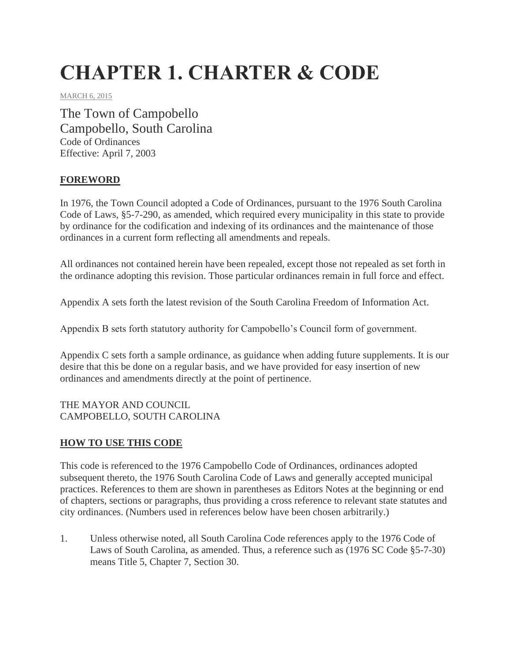# **CHAPTER 1. CHARTER & CODE**

MARCH 6, 2015

The Town of Campobello Campobello, South Carolina Code of Ordinances Effective: April 7, 2003

#### **FOREWORD**

In 1976, the Town Council adopted a Code of Ordinances, pursuant to the 1976 South Carolina Code of Laws, §5-7-290, as amended, which required every municipality in this state to provide by ordinance for the codification and indexing of its ordinances and the maintenance of those ordinances in a current form reflecting all amendments and repeals.

All ordinances not contained herein have been repealed, except those not repealed as set forth in the ordinance adopting this revision. Those particular ordinances remain in full force and effect.

Appendix A sets forth the latest revision of the South Carolina Freedom of Information Act.

Appendix B sets forth statutory authority for Campobello's Council form of government.

Appendix C sets forth a sample ordinance, as guidance when adding future supplements. It is our desire that this be done on a regular basis, and we have provided for easy insertion of new ordinances and amendments directly at the point of pertinence.

THE MAYOR AND COUNCIL CAMPOBELLO, SOUTH CAROLINA

## **HOW TO USE THIS CODE**

This code is referenced to the 1976 Campobello Code of Ordinances, ordinances adopted subsequent thereto, the 1976 South Carolina Code of Laws and generally accepted municipal practices. References to them are shown in parentheses as Editors Notes at the beginning or end of chapters, sections or paragraphs, thus providing a cross reference to relevant state statutes and city ordinances. (Numbers used in references below have been chosen arbitrarily.)

1. Unless otherwise noted, all South Carolina Code references apply to the 1976 Code of Laws of South Carolina, as amended. Thus, a reference such as (1976 SC Code §5-7-30) means Title 5, Chapter 7, Section 30.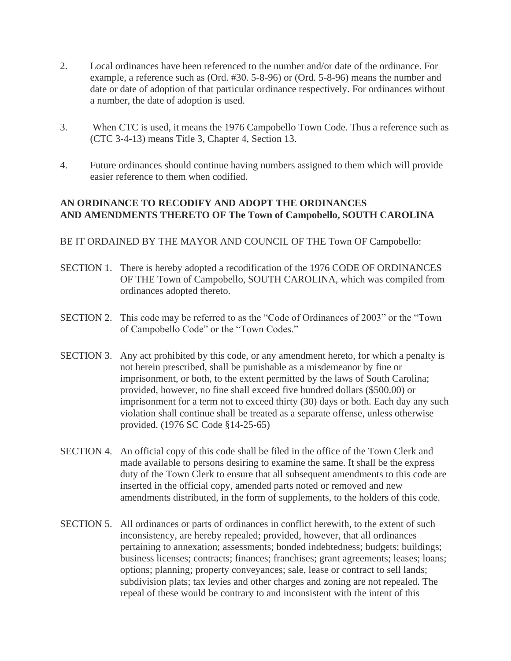- 2. Local ordinances have been referenced to the number and/or date of the ordinance. For example, a reference such as (Ord. #30. 5-8-96) or (Ord. 5-8-96) means the number and date or date of adoption of that particular ordinance respectively. For ordinances without a number, the date of adoption is used.
- 3. When CTC is used, it means the 1976 Campobello Town Code. Thus a reference such as (CTC 3-4-13) means Title 3, Chapter 4, Section 13.
- 4. Future ordinances should continue having numbers assigned to them which will provide easier reference to them when codified.

#### **AN ORDINANCE TO RECODIFY AND ADOPT THE ORDINANCES AND AMENDMENTS THERETO OF The Town of Campobello, SOUTH CAROLINA**

BE IT ORDAINED BY THE MAYOR AND COUNCIL OF THE Town OF Campobello:

- SECTION 1. There is hereby adopted a recodification of the 1976 CODE OF ORDINANCES OF THE Town of Campobello, SOUTH CAROLINA, which was compiled from ordinances adopted thereto.
- SECTION 2. This code may be referred to as the "Code of Ordinances of 2003" or the "Town of Campobello Code" or the "Town Codes."
- SECTION 3. Any act prohibited by this code, or any amendment hereto, for which a penalty is not herein prescribed, shall be punishable as a misdemeanor by fine or imprisonment, or both, to the extent permitted by the laws of South Carolina; provided, however, no fine shall exceed five hundred dollars (\$500.00) or imprisonment for a term not to exceed thirty (30) days or both. Each day any such violation shall continue shall be treated as a separate offense, unless otherwise provided. (1976 SC Code §14-25-65)
- SECTION 4. An official copy of this code shall be filed in the office of the Town Clerk and made available to persons desiring to examine the same. It shall be the express duty of the Town Clerk to ensure that all subsequent amendments to this code are inserted in the official copy, amended parts noted or removed and new amendments distributed, in the form of supplements, to the holders of this code.
- SECTION 5. All ordinances or parts of ordinances in conflict herewith, to the extent of such inconsistency, are hereby repealed; provided, however, that all ordinances pertaining to annexation; assessments; bonded indebtedness; budgets; buildings; business licenses; contracts; finances; franchises; grant agreements; leases; loans; options; planning; property conveyances; sale, lease or contract to sell lands; subdivision plats; tax levies and other charges and zoning are not repealed. The repeal of these would be contrary to and inconsistent with the intent of this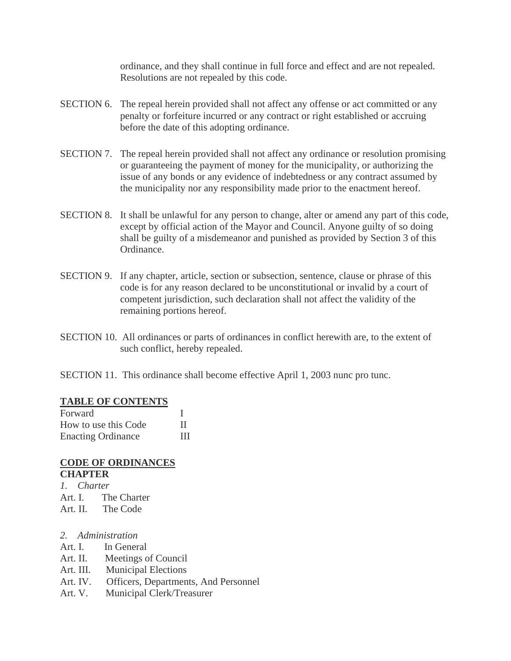ordinance, and they shall continue in full force and effect and are not repealed. Resolutions are not repealed by this code.

- SECTION 6. The repeal herein provided shall not affect any offense or act committed or any penalty or forfeiture incurred or any contract or right established or accruing before the date of this adopting ordinance.
- SECTION 7. The repeal herein provided shall not affect any ordinance or resolution promising or guaranteeing the payment of money for the municipality, or authorizing the issue of any bonds or any evidence of indebtedness or any contract assumed by the municipality nor any responsibility made prior to the enactment hereof.
- SECTION 8. It shall be unlawful for any person to change, alter or amend any part of this code, except by official action of the Mayor and Council. Anyone guilty of so doing shall be guilty of a misdemeanor and punished as provided by Section 3 of this Ordinance.
- SECTION 9. If any chapter, article, section or subsection, sentence, clause or phrase of this code is for any reason declared to be unconstitutional or invalid by a court of competent jurisdiction, such declaration shall not affect the validity of the remaining portions hereof.
- SECTION 10. All ordinances or parts of ordinances in conflict herewith are, to the extent of such conflict, hereby repealed.
- SECTION 11. This ordinance shall become effective April 1, 2003 nunc pro tunc.

#### **TABLE OF CONTENTS**

| Forward                   |   |
|---------------------------|---|
| How to use this Code      |   |
| <b>Enacting Ordinance</b> | Ш |

#### **CODE OF ORDINANCES CHAPTER**

- *1. Charter*
- Art. I. The Charter
- Art. II. The Code
- *2. Administration*
- Art. I. In General
- Art. II. Meetings of Council
- Art. III. Municipal Elections
- Art. IV. Officers, Departments, And Personnel
- Art. V. Municipal Clerk/Treasurer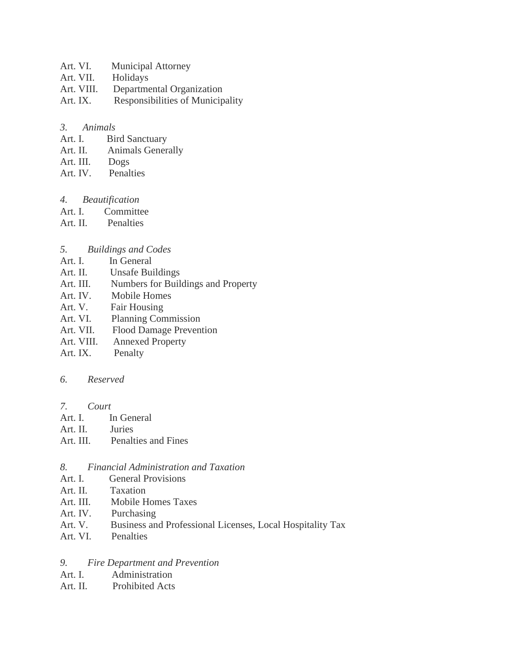- Art. VI. Municipal Attorney
- Art. VII. Holidays
- Art. VIII. Departmental Organization
- Art. IX. Responsibilities of Municipality

#### *3. Animals*

- Art. I. Bird Sanctuary
- Art. II. Animals Generally
- Art. III. Dogs
- Art. IV. Penalties
- *4. Beautification*
- Art. I. Committee
- Art. II. Penalties
- *5. Buildings and Codes*
- Art. I. In General
- Art. II. Unsafe Buildings
- Art. III. Numbers for Buildings and Property
- Art. IV. Mobile Homes
- Art. V. Fair Housing
- Art. VI. Planning Commission
- Art. VII. Flood Damage Prevention
- Art. VIII. Annexed Property
- Art. IX. Penalty

#### *6. Reserved*

- *7. Court*
- Art. I. In General
- Art. II. Juries
- Art. III. Penalties and Fines
- *8. Financial Administration and Taxation*
- Art. I. General Provisions
- Art. II. Taxation
- Art. III. Mobile Homes Taxes
- Art. IV. Purchasing
- Art. V. Business and Professional Licenses, Local Hospitality Tax
- Art. VI. Penalties

#### *9. Fire Department and Prevention*

- Art. I. Administration
- Art. II. Prohibited Acts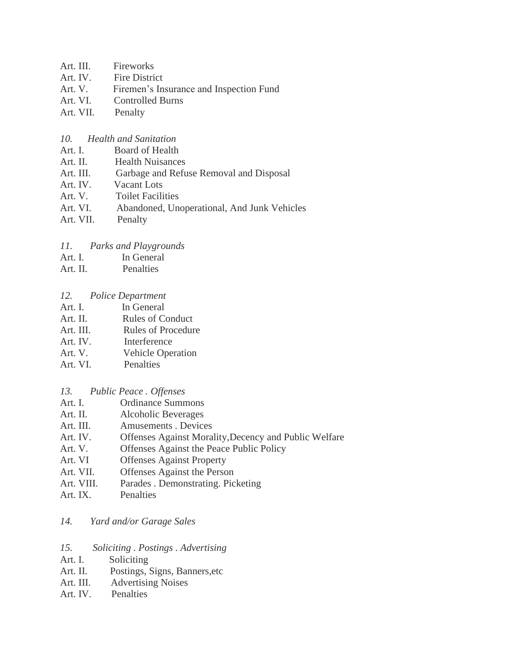- Art. III. Fireworks
- Art. IV. Fire District
- Art. V. Firemen's Insurance and Inspection Fund
- Art. VI. Controlled Burns
- Art. VII. Penalty
- *10. Health and Sanitation*
- Art. I. Board of Health
- Art. II. Health Nuisances
- Art. III. Garbage and Refuse Removal and Disposal
- Art. IV. Vacant Lots
- Art. V. Toilet Facilities
- Art. VI. Abandoned, Unoperational, And Junk Vehicles
- Art. VII. Penalty

#### *11. Parks and Playgrounds*

- Art. I. In General
- Art. II. Penalties

#### *12. Police Department*

- Art. I. In General
- Art. II. Rules of Conduct
- Art. III. Rules of Procedure
- Art. IV. Interference
- Art. V. Vehicle Operation
- Art. VI. Penalties
- *13. Public Peace . Offenses*
- Art. I. Ordinance Summons
- Art. II. Alcoholic Beverages
- Art. III. Amusements . Devices
- Art. IV. Offenses Against Morality,Decency and Public Welfare
- Art. V. Offenses Against the Peace Public Policy
- Art. VI Offenses Against Property
- Art. VII. Offenses Against the Person
- Art. VIII. Parades . Demonstrating. Picketing
- Art. IX. Penalties

#### *14. Yard and/or Garage Sales*

- *15. Soliciting . Postings . Advertising*
- Art. I. Soliciting
- Art. II. Postings, Signs, Banners,etc
- Art. III. Advertising Noises
- Art. IV. Penalties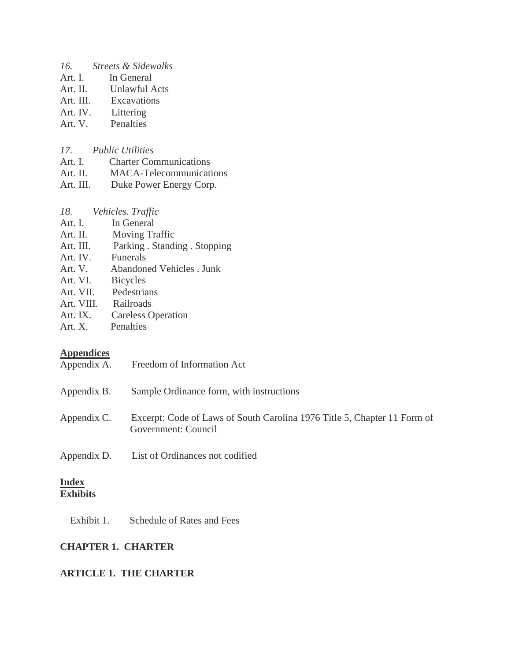- *16. Streets & Sidewalks*
- Art. I. In General
- Art. II. Unlawful Acts
- Art. III. Excavations
- Art. IV. Littering
- Art. V. Penalties
- *17. Public Utilities*
- Art. I. Charter Communications
- Art. II. MACA-Telecommunications
- Art. III. Duke Power Energy Corp.
- *18. Vehicles. Traffic*
- Art. I. In General
- Art. II. Moving Traffic
- Art. III. Parking . Standing . Stopping
- Art. IV. Funerals
- Art. V. Abandoned Vehicles . Junk
- Art. VI. Bicycles
- Art. VII. Pedestrians
- Art. VIII. Railroads
- Art. IX. Careless Operation
- Art. X. Penalties

#### **Appendices**

- Appendix A. Freedom of Information Act
- Appendix B. Sample Ordinance form, with instructions Appendix C. Excerpt: Code of Laws of South Carolina 1976 Title 5, Chapter 11 Form of Government: Council Appendix D. List of Ordinances not codified

## **Index**

## **Exhibits**

Exhibit 1. Schedule of Rates and Fees

## **CHAPTER 1. CHARTER**

#### **ARTICLE 1. THE CHARTER**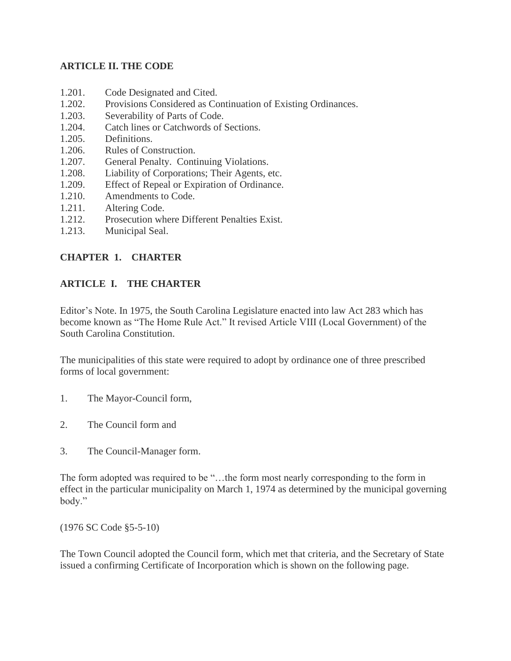#### **ARTICLE II. THE CODE**

- 1.201. Code Designated and Cited.
- 1.202. Provisions Considered as Continuation of Existing Ordinances.
- 1.203. Severability of Parts of Code.
- 1.204. Catch lines or Catchwords of Sections.
- 1.205. Definitions.
- 1.206. Rules of Construction.
- 1.207. General Penalty. Continuing Violations.
- 1.208. Liability of Corporations; Their Agents, etc.
- 1.209. Effect of Repeal or Expiration of Ordinance.
- 1.210. Amendments to Code.
- 1.211. Altering Code.
- 1.212. Prosecution where Different Penalties Exist.
- 1.213. Municipal Seal.

## **CHAPTER 1. CHARTER**

#### **ARTICLE I. THE CHARTER**

Editor's Note. In 1975, the South Carolina Legislature enacted into law Act 283 which has become known as "The Home Rule Act." It revised Article VIII (Local Government) of the South Carolina Constitution.

The municipalities of this state were required to adopt by ordinance one of three prescribed forms of local government:

- 1. The Mayor-Council form,
- 2. The Council form and
- 3. The Council-Manager form.

The form adopted was required to be "…the form most nearly corresponding to the form in effect in the particular municipality on March 1, 1974 as determined by the municipal governing body."

(1976 SC Code §5-5-10)

The Town Council adopted the Council form, which met that criteria, and the Secretary of State issued a confirming Certificate of Incorporation which is shown on the following page.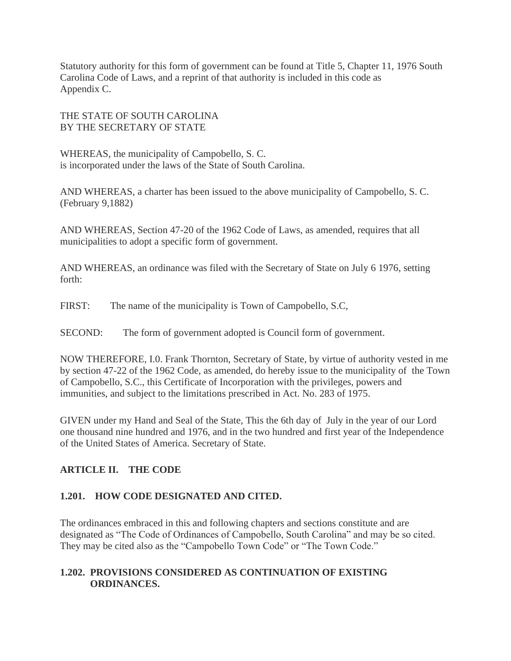Statutory authority for this form of government can be found at Title 5, Chapter 11, 1976 South Carolina Code of Laws, and a reprint of that authority is included in this code as Appendix C.

THE STATE OF SOUTH CAROLINA BY THE SECRETARY OF STATE

WHEREAS, the municipality of Campobello, S. C. is incorporated under the laws of the State of South Carolina.

AND WHEREAS, a charter has been issued to the above municipality of Campobello, S. C. (February 9,1882)

AND WHEREAS, Section 47-20 of the 1962 Code of Laws, as amended, requires that all municipalities to adopt a specific form of government.

AND WHEREAS, an ordinance was filed with the Secretary of State on July 6 1976, setting forth:

FIRST: The name of the municipality is Town of Campobello, S.C,

SECOND: The form of government adopted is Council form of government.

NOW THEREFORE, I.0. Frank Thornton, Secretary of State, by virtue of authority vested in me by section 47-22 of the 1962 Code, as amended, do hereby issue to the municipality of the Town of Campobello, S.C., this Certificate of Incorporation with the privileges, powers and immunities, and subject to the limitations prescribed in Act. No. 283 of 1975.

GIVEN under my Hand and Seal of the State, This the 6th day of July in the year of our Lord one thousand nine hundred and 1976, and in the two hundred and first year of the Independence of the United States of America. Secretary of State.

## **ARTICLE II. THE CODE**

## **1.201. HOW CODE DESIGNATED AND CITED.**

The ordinances embraced in this and following chapters and sections constitute and are designated as "The Code of Ordinances of Campobello, South Carolina" and may be so cited. They may be cited also as the "Campobello Town Code" or "The Town Code."

#### **1.202. PROVISIONS CONSIDERED AS CONTINUATION OF EXISTING ORDINANCES.**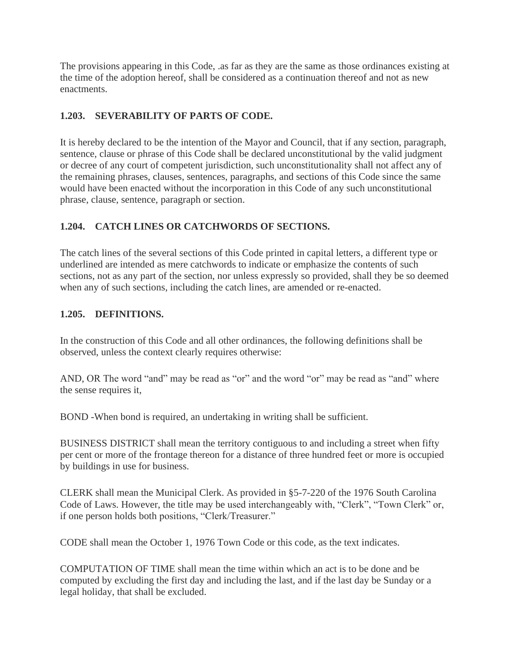The provisions appearing in this Code, .as far as they are the same as those ordinances existing at the time of the adoption hereof, shall be considered as a continuation thereof and not as new enactments.

## **1.203. SEVERABILITY OF PARTS OF CODE.**

It is hereby declared to be the intention of the Mayor and Council, that if any section, paragraph, sentence, clause or phrase of this Code shall be declared unconstitutional by the valid judgment or decree of any court of competent jurisdiction, such unconstitutionality shall not affect any of the remaining phrases, clauses, sentences, paragraphs, and sections of this Code since the same would have been enacted without the incorporation in this Code of any such unconstitutional phrase, clause, sentence, paragraph or section.

## **1.204. CATCH LINES OR CATCHWORDS OF SECTIONS.**

The catch lines of the several sections of this Code printed in capital letters, a different type or underlined are intended as mere catchwords to indicate or emphasize the contents of such sections, not as any part of the section, nor unless expressly so provided, shall they be so deemed when any of such sections, including the catch lines, are amended or re-enacted.

## **1.205. DEFINITIONS.**

In the construction of this Code and all other ordinances, the following definitions shall be observed, unless the context clearly requires otherwise:

AND, OR The word "and" may be read as "or" and the word "or" may be read as "and" where the sense requires it,

BOND -When bond is required, an undertaking in writing shall be sufficient.

BUSINESS DISTRICT shall mean the territory contiguous to and including a street when fifty per cent or more of the frontage thereon for a distance of three hundred feet or more is occupied by buildings in use for business.

CLERK shall mean the Municipal Clerk. As provided in §5-7-220 of the 1976 South Carolina Code of Laws. However, the title may be used interchangeably with, "Clerk", "Town Clerk" or, if one person holds both positions, "Clerk/Treasurer."

CODE shall mean the October 1, 1976 Town Code or this code, as the text indicates.

COMPUTATION OF TIME shall mean the time within which an act is to be done and be computed by excluding the first day and including the last, and if the last day be Sunday or a legal holiday, that shall be excluded.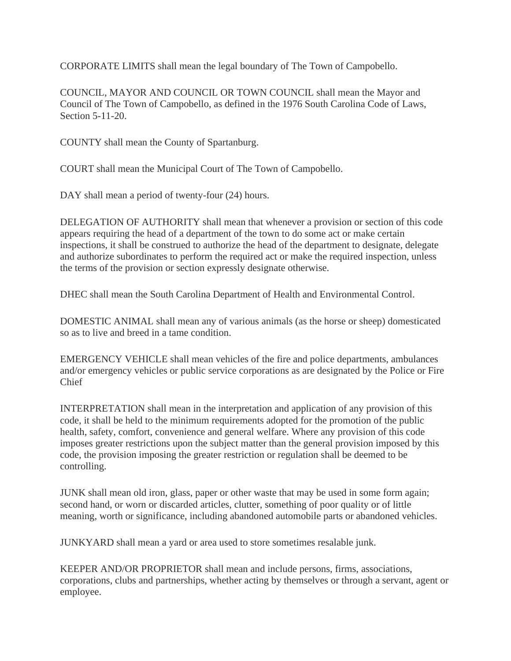CORPORATE LIMITS shall mean the legal boundary of The Town of Campobello.

COUNCIL, MAYOR AND COUNCIL OR TOWN COUNCIL shall mean the Mayor and Council of The Town of Campobello, as defined in the 1976 South Carolina Code of Laws, Section 5-11-20.

COUNTY shall mean the County of Spartanburg.

COURT shall mean the Municipal Court of The Town of Campobello.

DAY shall mean a period of twenty-four  $(24)$  hours.

DELEGATION OF AUTHORITY shall mean that whenever a provision or section of this code appears requiring the head of a department of the town to do some act or make certain inspections, it shall be construed to authorize the head of the department to designate, delegate and authorize subordinates to perform the required act or make the required inspection, unless the terms of the provision or section expressly designate otherwise.

DHEC shall mean the South Carolina Department of Health and Environmental Control.

DOMESTIC ANIMAL shall mean any of various animals (as the horse or sheep) domesticated so as to live and breed in a tame condition.

EMERGENCY VEHICLE shall mean vehicles of the fire and police departments, ambulances and/or emergency vehicles or public service corporations as are designated by the Police or Fire Chief

INTERPRETATION shall mean in the interpretation and application of any provision of this code, it shall be held to the minimum requirements adopted for the promotion of the public health, safety, comfort, convenience and general welfare. Where any provision of this code imposes greater restrictions upon the subject matter than the general provision imposed by this code, the provision imposing the greater restriction or regulation shall be deemed to be controlling.

JUNK shall mean old iron, glass, paper or other waste that may be used in some form again; second hand, or worn or discarded articles, clutter, something of poor quality or of little meaning, worth or significance, including abandoned automobile parts or abandoned vehicles.

JUNKYARD shall mean a yard or area used to store sometimes resalable junk.

KEEPER AND/OR PROPRIETOR shall mean and include persons, firms, associations, corporations, clubs and partnerships, whether acting by themselves or through a servant, agent or employee.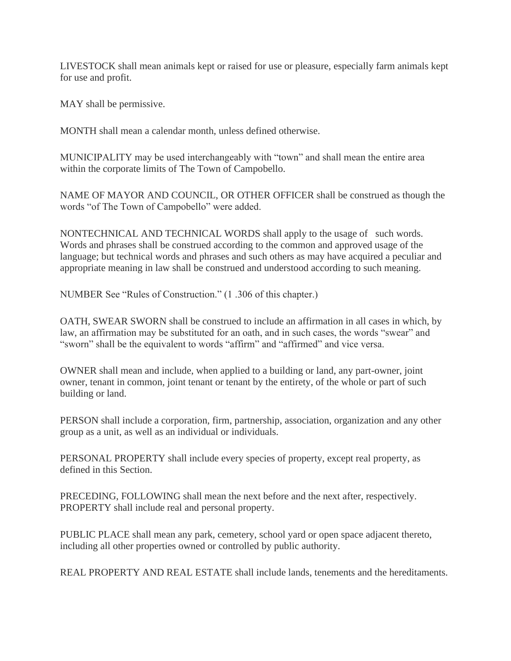LIVESTOCK shall mean animals kept or raised for use or pleasure, especially farm animals kept for use and profit.

MAY shall be permissive.

MONTH shall mean a calendar month, unless defined otherwise.

MUNICIPALITY may be used interchangeably with "town" and shall mean the entire area within the corporate limits of The Town of Campobello.

NAME OF MAYOR AND COUNCIL, OR OTHER OFFICER shall be construed as though the words "of The Town of Campobello" were added.

NONTECHNICAL AND TECHNICAL WORDS shall apply to the usage of such words. Words and phrases shall be construed according to the common and approved usage of the language; but technical words and phrases and such others as may have acquired a peculiar and appropriate meaning in law shall be construed and understood according to such meaning.

NUMBER See "Rules of Construction." (1 .306 of this chapter.)

OATH, SWEAR SWORN shall be construed to include an affirmation in all cases in which, by law, an affirmation may be substituted for an oath, and in such cases, the words "swear" and "sworn" shall be the equivalent to words "affirm" and "affirmed" and vice versa.

OWNER shall mean and include, when applied to a building or land, any part-owner, joint owner, tenant in common, joint tenant or tenant by the entirety, of the whole or part of such building or land.

PERSON shall include a corporation, firm, partnership, association, organization and any other group as a unit, as well as an individual or individuals.

PERSONAL PROPERTY shall include every species of property, except real property, as defined in this Section.

PRECEDING, FOLLOWING shall mean the next before and the next after, respectively. PROPERTY shall include real and personal property.

PUBLIC PLACE shall mean any park, cemetery, school yard or open space adjacent thereto, including all other properties owned or controlled by public authority.

REAL PROPERTY AND REAL ESTATE shall include lands, tenements and the hereditaments.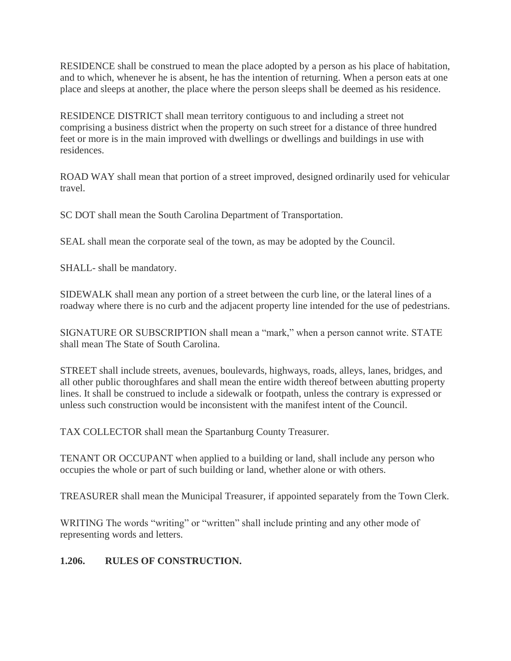RESIDENCE shall be construed to mean the place adopted by a person as his place of habitation, and to which, whenever he is absent, he has the intention of returning. When a person eats at one place and sleeps at another, the place where the person sleeps shall be deemed as his residence.

RESIDENCE DISTRICT shall mean territory contiguous to and including a street not comprising a business district when the property on such street for a distance of three hundred feet or more is in the main improved with dwellings or dwellings and buildings in use with residences.

ROAD WAY shall mean that portion of a street improved, designed ordinarily used for vehicular travel.

SC DOT shall mean the South Carolina Department of Transportation.

SEAL shall mean the corporate seal of the town, as may be adopted by the Council.

SHALL- shall be mandatory.

SIDEWALK shall mean any portion of a street between the curb line, or the lateral lines of a roadway where there is no curb and the adjacent property line intended for the use of pedestrians.

SIGNATURE OR SUBSCRIPTION shall mean a "mark," when a person cannot write. STATE shall mean The State of South Carolina.

STREET shall include streets, avenues, boulevards, highways, roads, alleys, lanes, bridges, and all other public thoroughfares and shall mean the entire width thereof between abutting property lines. It shall be construed to include a sidewalk or footpath, unless the contrary is expressed or unless such construction would be inconsistent with the manifest intent of the Council.

TAX COLLECTOR shall mean the Spartanburg County Treasurer.

TENANT OR OCCUPANT when applied to a building or land, shall include any person who occupies the whole or part of such building or land, whether alone or with others.

TREASURER shall mean the Municipal Treasurer, if appointed separately from the Town Clerk.

WRITING The words "writing" or "written" shall include printing and any other mode of representing words and letters.

## **1.206. RULES OF CONSTRUCTION.**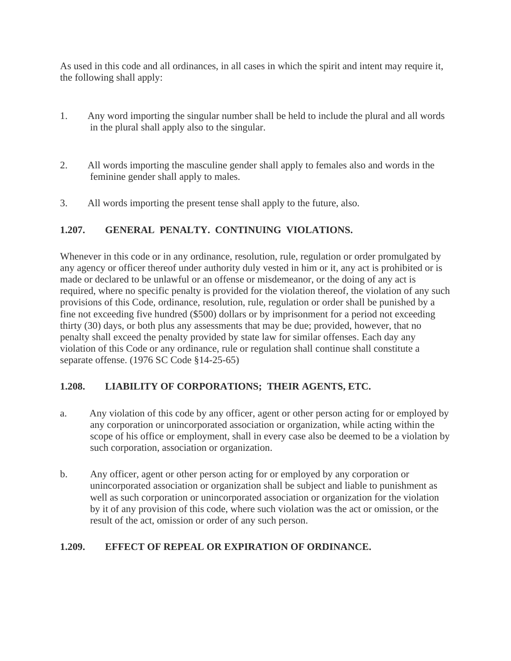As used in this code and all ordinances, in all cases in which the spirit and intent may require it, the following shall apply:

- 1. Any word importing the singular number shall be held to include the plural and all words in the plural shall apply also to the singular.
- 2. All words importing the masculine gender shall apply to females also and words in the feminine gender shall apply to males.
- 3. All words importing the present tense shall apply to the future, also.

## **1.207. GENERAL PENALTY. CONTINUING VIOLATIONS.**

Whenever in this code or in any ordinance, resolution, rule, regulation or order promulgated by any agency or officer thereof under authority duly vested in him or it, any act is prohibited or is made or declared to be unlawful or an offense or misdemeanor, or the doing of any act is required, where no specific penalty is provided for the violation thereof, the violation of any such provisions of this Code, ordinance, resolution, rule, regulation or order shall be punished by a fine not exceeding five hundred (\$500) dollars or by imprisonment for a period not exceeding thirty (30) days, or both plus any assessments that may be due; provided, however, that no penalty shall exceed the penalty provided by state law for similar offenses. Each day any violation of this Code or any ordinance, rule or regulation shall continue shall constitute a separate offense. (1976 SC Code §14-25-65)

## **1.208. LIABILITY OF CORPORATIONS; THEIR AGENTS, ETC.**

- a. Any violation of this code by any officer, agent or other person acting for or employed by any corporation or unincorporated association or organization, while acting within the scope of his office or employment, shall in every case also be deemed to be a violation by such corporation, association or organization.
- b. Any officer, agent or other person acting for or employed by any corporation or unincorporated association or organization shall be subject and liable to punishment as well as such corporation or unincorporated association or organization for the violation by it of any provision of this code, where such violation was the act or omission, or the result of the act, omission or order of any such person.

## **1.209. EFFECT OF REPEAL OR EXPIRATION OF ORDINANCE.**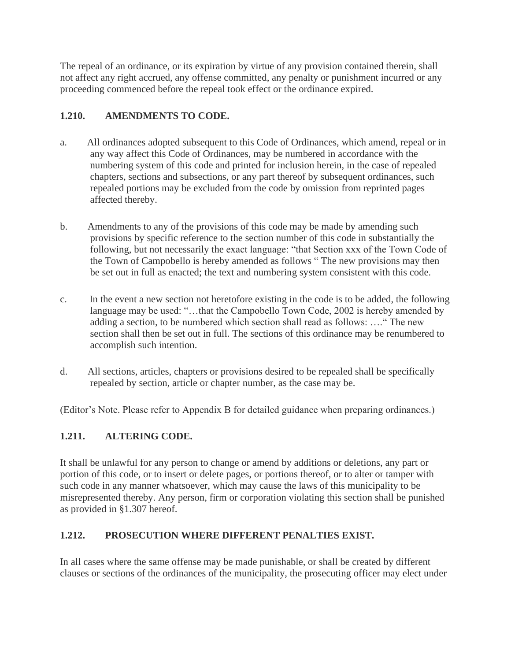The repeal of an ordinance, or its expiration by virtue of any provision contained therein, shall not affect any right accrued, any offense committed, any penalty or punishment incurred or any proceeding commenced before the repeal took effect or the ordinance expired.

## **1.210. AMENDMENTS TO CODE.**

- a. All ordinances adopted subsequent to this Code of Ordinances, which amend, repeal or in any way affect this Code of Ordinances, may be numbered in accordance with the numbering system of this code and printed for inclusion herein, in the case of repealed chapters, sections and subsections, or any part thereof by subsequent ordinances, such repealed portions may be excluded from the code by omission from reprinted pages affected thereby.
- b. Amendments to any of the provisions of this code may be made by amending such provisions by specific reference to the section number of this code in substantially the following, but not necessarily the exact language: "that Section xxx of the Town Code of the Town of Campobello is hereby amended as follows " The new provisions may then be set out in full as enacted; the text and numbering system consistent with this code.
- c. In the event a new section not heretofore existing in the code is to be added, the following language may be used: "...that the Campobello Town Code, 2002 is hereby amended by adding a section, to be numbered which section shall read as follows: …." The new section shall then be set out in full. The sections of this ordinance may be renumbered to accomplish such intention.
- d. All sections, articles, chapters or provisions desired to be repealed shall be specifically repealed by section, article or chapter number, as the case may be.

(Editor's Note. Please refer to Appendix B for detailed guidance when preparing ordinances.)

## **1.211. ALTERING CODE.**

It shall be unlawful for any person to change or amend by additions or deletions, any part or portion of this code, or to insert or delete pages, or portions thereof, or to alter or tamper with such code in any manner whatsoever, which may cause the laws of this municipality to be misrepresented thereby. Any person, firm or corporation violating this section shall be punished as provided in §1.307 hereof.

## **1.212. PROSECUTION WHERE DIFFERENT PENALTIES EXIST.**

In all cases where the same offense may be made punishable, or shall be created by different clauses or sections of the ordinances of the municipality, the prosecuting officer may elect under